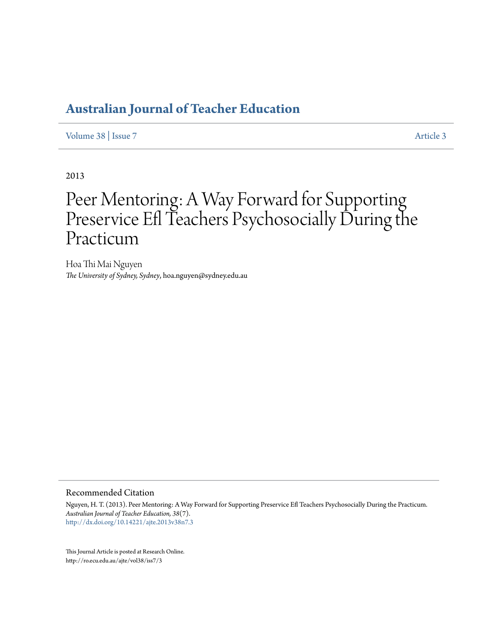[Volume 38](http://ro.ecu.edu.au/ajte/vol38) | [Issue 7](http://ro.ecu.edu.au/ajte/vol38/iss7) [Article 3](http://ro.ecu.edu.au/ajte/vol38/iss7/3)

2013

# Peer Mentoring: A Way Forward for Supporting Preservice Efl Teachers Psychosocially During the Practicum

Hoa Thi Mai Nguyen *The University of Sydney, Sydney*, hoa.nguyen@sydney.edu.au

#### Recommended Citation

Nguyen, H. T. (2013). Peer Mentoring: A Way Forward for Supporting Preservice Efl Teachers Psychosocially During the Practicum. *Australian Journal of Teacher Education, 38*(7). <http://dx.doi.org/10.14221/ajte.2013v38n7.3>

This Journal Article is posted at Research Online. http://ro.ecu.edu.au/ajte/vol38/iss7/3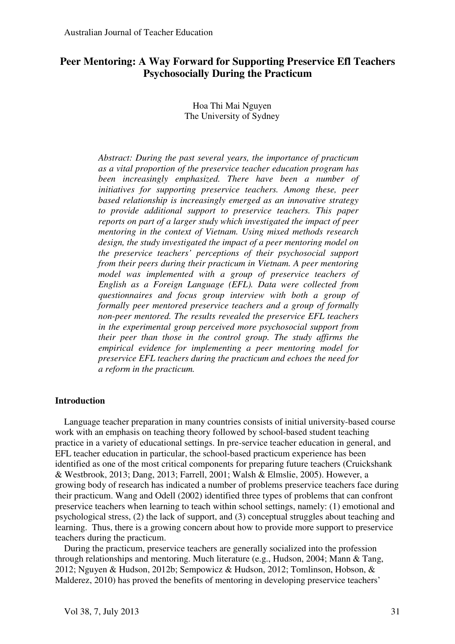# **Peer Mentoring: A Way Forward for Supporting Preservice Efl Teachers Psychosocially During the Practicum**

Hoa Thi Mai Nguyen The University of Sydney

*Abstract: During the past several years, the importance of practicum as a vital proportion of the preservice teacher education program has been increasingly emphasized. There have been a number of initiatives for supporting preservice teachers. Among these, peer based relationship is increasingly emerged as an innovative strategy to provide additional support to preservice teachers. This paper reports on part of a larger study which investigated the impact of peer mentoring in the context of Vietnam. Using mixed methods research design, the study investigated the impact of a peer mentoring model on the preservice teachers' perceptions of their psychosocial support from their peers during their practicum in Vietnam. A peer mentoring model was implemented with a group of preservice teachers of English as a Foreign Language (EFL). Data were collected from questionnaires and focus group interview with both a group of formally peer mentored preservice teachers and a group of formally non-peer mentored. The results revealed the preservice EFL teachers in the experimental group perceived more psychosocial support from their peer than those in the control group. The study affirms the empirical evidence for implementing a peer mentoring model for preservice EFL teachers during the practicum and echoes the need for a reform in the practicum.* 

## **Introduction**

Language teacher preparation in many countries consists of initial university-based course work with an emphasis on teaching theory followed by school-based student teaching practice in a variety of educational settings. In pre-service teacher education in general, and EFL teacher education in particular, the school-based practicum experience has been identified as one of the most critical components for preparing future teachers (Cruickshank & Westbrook, 2013; Dang, 2013; Farrell, 2001; Walsh & Elmslie, 2005). However, a growing body of research has indicated a number of problems preservice teachers face during their practicum. Wang and Odell (2002) identified three types of problems that can confront preservice teachers when learning to teach within school settings, namely: (1) emotional and psychological stress, (2) the lack of support, and (3) conceptual struggles about teaching and learning. Thus, there is a growing concern about how to provide more support to preservice teachers during the practicum.

During the practicum, preservice teachers are generally socialized into the profession through relationships and mentoring. Much literature (e.g., Hudson, 2004; Mann & Tang, 2012; Nguyen & Hudson, 2012b; Sempowicz & Hudson, 2012; Tomlinson, Hobson, & Malderez, 2010) has proved the benefits of mentoring in developing preservice teachers'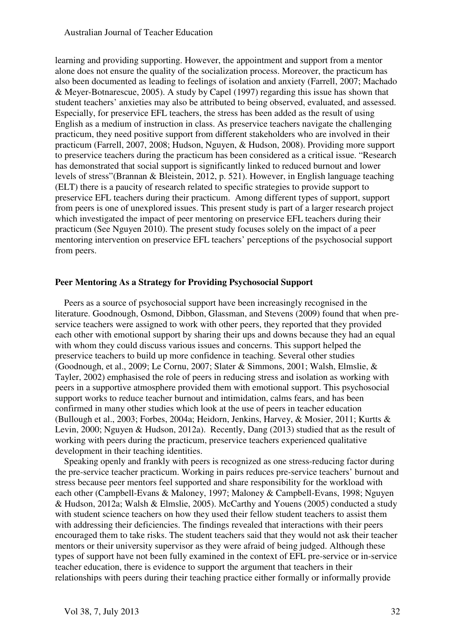learning and providing supporting. However, the appointment and support from a mentor alone does not ensure the quality of the socialization process. Moreover, the practicum has also been documented as leading to feelings of isolation and anxiety (Farrell, 2007; Machado & Meyer-Botnarescue, 2005). A study by Capel (1997) regarding this issue has shown that student teachers' anxieties may also be attributed to being observed, evaluated, and assessed. Especially, for preservice EFL teachers, the stress has been added as the result of using English as a medium of instruction in class. As preservice teachers navigate the challenging practicum, they need positive support from different stakeholders who are involved in their practicum (Farrell, 2007, 2008; Hudson, Nguyen, & Hudson, 2008). Providing more support to preservice teachers during the practicum has been considered as a critical issue. "Research has demonstrated that social support is significantly linked to reduced burnout and lower levels of stress"(Brannan & Bleistein, 2012, p. 521). However, in English language teaching (ELT) there is a paucity of research related to specific strategies to provide support to preservice EFL teachers during their practicum. Among different types of support, support from peers is one of unexplored issues. This present study is part of a larger research project which investigated the impact of peer mentoring on preservice EFL teachers during their practicum (See Nguyen 2010). The present study focuses solely on the impact of a peer mentoring intervention on preservice EFL teachers' perceptions of the psychosocial support from peers.

## **Peer Mentoring As a Strategy for Providing Psychosocial Support**

Peers as a source of psychosocial support have been increasingly recognised in the literature. Goodnough, Osmond, Dibbon, Glassman, and Stevens (2009) found that when preservice teachers were assigned to work with other peers, they reported that they provided each other with emotional support by sharing their ups and downs because they had an equal with whom they could discuss various issues and concerns. This support helped the preservice teachers to build up more confidence in teaching. Several other studies (Goodnough, et al., 2009; Le Cornu, 2007; Slater & Simmons, 2001; Walsh, Elmslie, & Tayler, 2002) emphasised the role of peers in reducing stress and isolation as working with peers in a supportive atmosphere provided them with emotional support. This psychosocial support works to reduce teacher burnout and intimidation, calms fears, and has been confirmed in many other studies which look at the use of peers in teacher education (Bullough et al., 2003; Forbes, 2004a; Heidorn, Jenkins, Harvey, & Mosier, 2011; Kurtts & Levin, 2000; Nguyen & Hudson, 2012a). Recently, Dang (2013) studied that as the result of working with peers during the practicum, preservice teachers experienced qualitative development in their teaching identities.

Speaking openly and frankly with peers is recognized as one stress-reducing factor during the pre-service teacher practicum. Working in pairs reduces pre-service teachers' burnout and stress because peer mentors feel supported and share responsibility for the workload with each other (Campbell-Evans & Maloney, 1997; Maloney & Campbell-Evans, 1998; Nguyen & Hudson, 2012a; Walsh & Elmslie, 2005). McCarthy and Youens (2005) conducted a study with student science teachers on how they used their fellow student teachers to assist them with addressing their deficiencies. The findings revealed that interactions with their peers encouraged them to take risks. The student teachers said that they would not ask their teacher mentors or their university supervisor as they were afraid of being judged. Although these types of support have not been fully examined in the context of EFL pre-service or in-service teacher education, there is evidence to support the argument that teachers in their relationships with peers during their teaching practice either formally or informally provide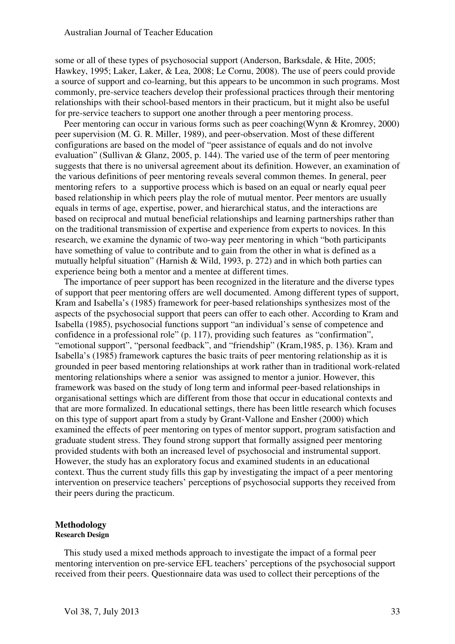some or all of these types of psychosocial support (Anderson, Barksdale, & Hite, 2005; Hawkey, 1995; Laker, Laker, & Lea, 2008; Le Cornu, 2008). The use of peers could provide a source of support and co-learning, but this appears to be uncommon in such programs. Most commonly, pre-service teachers develop their professional practices through their mentoring relationships with their school-based mentors in their practicum, but it might also be useful for pre-service teachers to support one another through a peer mentoring process.

Peer mentoring can occur in various forms such as peer coaching(Wynn & Kromrey, 2000) peer supervision (M. G. R. Miller, 1989), and peer-observation. Most of these different configurations are based on the model of "peer assistance of equals and do not involve evaluation" (Sullivan & Glanz, 2005, p. 144). The varied use of the term of peer mentoring suggests that there is no universal agreement about its definition. However, an examination of the various definitions of peer mentoring reveals several common themes. In general, peer mentoring refers to a supportive process which is based on an equal or nearly equal peer based relationship in which peers play the role of mutual mentor. Peer mentors are usually equals in terms of age, expertise, power, and hierarchical status, and the interactions are based on reciprocal and mutual beneficial relationships and learning partnerships rather than on the traditional transmission of expertise and experience from experts to novices. In this research, we examine the dynamic of two-way peer mentoring in which "both participants have something of value to contribute and to gain from the other in what is defined as a mutually helpful situation" (Harnish & Wild, 1993, p. 272) and in which both parties can experience being both a mentor and a mentee at different times.

The importance of peer support has been recognized in the literature and the diverse types of support that peer mentoring offers are well documented. Among different types of support, Kram and Isabella's (1985) framework for peer-based relationships synthesizes most of the aspects of the psychosocial support that peers can offer to each other. According to Kram and Isabella (1985), psychosocial functions support "an individual's sense of competence and confidence in a professional role" (p. 117), providing such features as "confirmation", "emotional support", "personal feedback", and "friendship" (Kram,1985, p. 136). Kram and Isabella's (1985) framework captures the basic traits of peer mentoring relationship as it is grounded in peer based mentoring relationships at work rather than in traditional work-related mentoring relationships where a senior was assigned to mentor a junior. However, this framework was based on the study of long term and informal peer-based relationships in organisational settings which are different from those that occur in educational contexts and that are more formalized. In educational settings, there has been little research which focuses on this type of support apart from a study by Grant-Vallone and Ensher (2000) which examined the effects of peer mentoring on types of mentor support, program satisfaction and graduate student stress. They found strong support that formally assigned peer mentoring provided students with both an increased level of psychosocial and instrumental support. However, the study has an exploratory focus and examined students in an educational context. Thus the current study fills this gap by investigating the impact of a peer mentoring intervention on preservice teachers' perceptions of psychosocial supports they received from their peers during the practicum.

#### **Methodology Research Design**

This study used a mixed methods approach to investigate the impact of a formal peer mentoring intervention on pre-service EFL teachers' perceptions of the psychosocial support received from their peers. Questionnaire data was used to collect their perceptions of the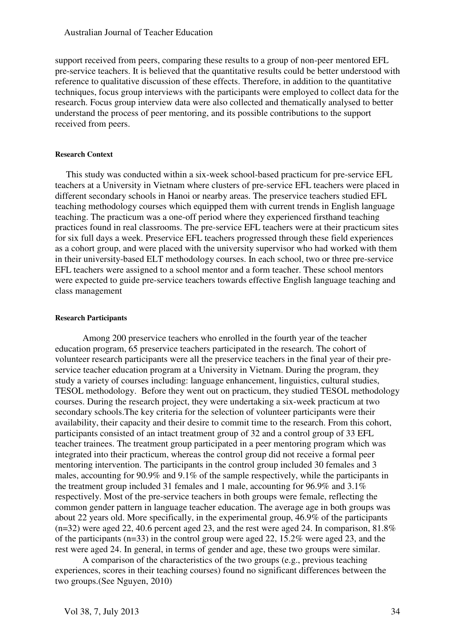support received from peers, comparing these results to a group of non-peer mentored EFL pre-service teachers. It is believed that the quantitative results could be better understood with reference to qualitative discussion of these effects. Therefore, in addition to the quantitative techniques, focus group interviews with the participants were employed to collect data for the research. Focus group interview data were also collected and thematically analysed to better understand the process of peer mentoring, and its possible contributions to the support received from peers.

#### **Research Context**

This study was conducted within a six-week school-based practicum for pre-service EFL teachers at a University in Vietnam where clusters of pre-service EFL teachers were placed in different secondary schools in Hanoi or nearby areas. The preservice teachers studied EFL teaching methodology courses which equipped them with current trends in English language teaching. The practicum was a one-off period where they experienced firsthand teaching practices found in real classrooms. The pre-service EFL teachers were at their practicum sites for six full days a week. Preservice EFL teachers progressed through these field experiences as a cohort group, and were placed with the university supervisor who had worked with them in their university-based ELT methodology courses. In each school, two or three pre-service EFL teachers were assigned to a school mentor and a form teacher. These school mentors were expected to guide pre-service teachers towards effective English language teaching and class management

#### **Research Participants**

Among 200 preservice teachers who enrolled in the fourth year of the teacher education program, 65 preservice teachers participated in the research. The cohort of volunteer research participants were all the preservice teachers in the final year of their preservice teacher education program at a University in Vietnam. During the program, they study a variety of courses including: language enhancement, linguistics, cultural studies, TESOL methodology. Before they went out on practicum, they studied TESOL methodology courses. During the research project, they were undertaking a six-week practicum at two secondary schools.The key criteria for the selection of volunteer participants were their availability, their capacity and their desire to commit time to the research. From this cohort, participants consisted of an intact treatment group of 32 and a control group of 33 EFL teacher trainees. The treatment group participated in a peer mentoring program which was integrated into their practicum, whereas the control group did not receive a formal peer mentoring intervention. The participants in the control group included 30 females and 3 males, accounting for 90.9% and 9.1% of the sample respectively, while the participants in the treatment group included 31 females and 1 male, accounting for 96.9% and 3.1% respectively. Most of the pre-service teachers in both groups were female, reflecting the common gender pattern in language teacher education. The average age in both groups was about 22 years old. More specifically, in the experimental group, 46.9% of the participants  $(n=32)$  were aged 22, 40.6 percent aged 23, and the rest were aged 24. In comparison, 81.8% of the participants (n=33) in the control group were aged 22, 15.2% were aged 23, and the rest were aged 24. In general, in terms of gender and age, these two groups were similar.

A comparison of the characteristics of the two groups (e.g., previous teaching experiences, scores in their teaching courses) found no significant differences between the two groups.(See Nguyen, 2010)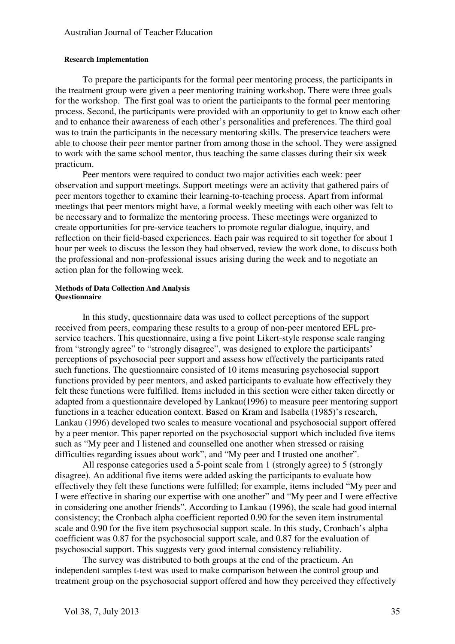#### **Research Implementation**

To prepare the participants for the formal peer mentoring process, the participants in the treatment group were given a peer mentoring training workshop. There were three goals for the workshop. The first goal was to orient the participants to the formal peer mentoring process. Second, the participants were provided with an opportunity to get to know each other and to enhance their awareness of each other's personalities and preferences. The third goal was to train the participants in the necessary mentoring skills. The preservice teachers were able to choose their peer mentor partner from among those in the school. They were assigned to work with the same school mentor, thus teaching the same classes during their six week practicum.

 Peer mentors were required to conduct two major activities each week: peer observation and support meetings. Support meetings were an activity that gathered pairs of peer mentors together to examine their learning-to-teaching process. Apart from informal meetings that peer mentors might have, a formal weekly meeting with each other was felt to be necessary and to formalize the mentoring process. These meetings were organized to create opportunities for pre-service teachers to promote regular dialogue, inquiry, and reflection on their field-based experiences. Each pair was required to sit together for about 1 hour per week to discuss the lesson they had observed, review the work done, to discuss both the professional and non-professional issues arising during the week and to negotiate an action plan for the following week.

#### **Methods of Data Collection And Analysis Questionnaire**

In this study, questionnaire data was used to collect perceptions of the support received from peers, comparing these results to a group of non-peer mentored EFL preservice teachers. This questionnaire, using a five point Likert-style response scale ranging from "strongly agree" to "strongly disagree", was designed to explore the participants' perceptions of psychosocial peer support and assess how effectively the participants rated such functions. The questionnaire consisted of 10 items measuring psychosocial support functions provided by peer mentors, and asked participants to evaluate how effectively they felt these functions were fulfilled. Items included in this section were either taken directly or adapted from a questionnaire developed by Lankau(1996) to measure peer mentoring support functions in a teacher education context. Based on Kram and Isabella (1985)'s research, Lankau (1996) developed two scales to measure vocational and psychosocial support offered by a peer mentor. This paper reported on the psychosocial support which included five items such as "My peer and I listened and counselled one another when stressed or raising difficulties regarding issues about work", and "My peer and I trusted one another".

All response categories used a 5-point scale from 1 (strongly agree) to 5 (strongly disagree). An additional five items were added asking the participants to evaluate how effectively they felt these functions were fulfilled; for example, items included "My peer and I were effective in sharing our expertise with one another" and "My peer and I were effective in considering one another friends". According to Lankau (1996), the scale had good internal consistency; the Cronbach alpha coefficient reported 0.90 for the seven item instrumental scale and 0.90 for the five item psychosocial support scale. In this study, Cronbach's alpha coefficient was 0.87 for the psychosocial support scale, and 0.87 for the evaluation of psychosocial support. This suggests very good internal consistency reliability.

The survey was distributed to both groups at the end of the practicum. An independent samples t-test was used to make comparison between the control group and treatment group on the psychosocial support offered and how they perceived they effectively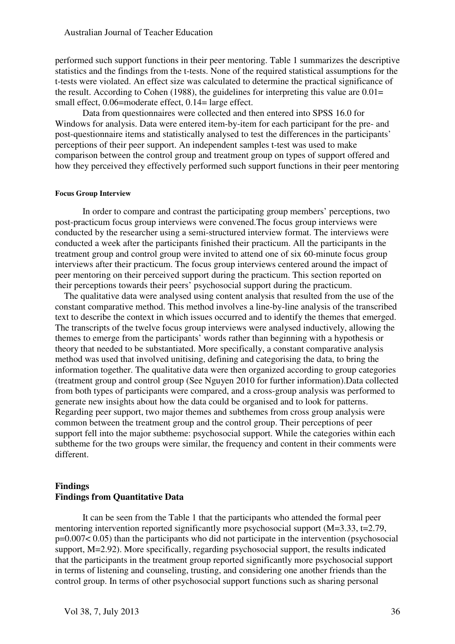performed such support functions in their peer mentoring. Table 1 summarizes the descriptive statistics and the findings from the t-tests. None of the required statistical assumptions for the t-tests were violated. An effect size was calculated to determine the practical significance of the result. According to Cohen (1988), the guidelines for interpreting this value are  $0.01=$ small effect, 0.06=moderate effect, 0.14= large effect.

Data from questionnaires were collected and then entered into SPSS 16.0 for Windows for analysis. Data were entered item-by-item for each participant for the pre- and post-questionnaire items and statistically analysed to test the differences in the participants' perceptions of their peer support. An independent samples t-test was used to make comparison between the control group and treatment group on types of support offered and how they perceived they effectively performed such support functions in their peer mentoring

#### **Focus Group Interview**

In order to compare and contrast the participating group members' perceptions, two post-practicum focus group interviews were convened.The focus group interviews were conducted by the researcher using a semi-structured interview format. The interviews were conducted a week after the participants finished their practicum. All the participants in the treatment group and control group were invited to attend one of six 60-minute focus group interviews after their practicum. The focus group interviews centered around the impact of peer mentoring on their perceived support during the practicum. This section reported on their perceptions towards their peers' psychosocial support during the practicum.

The qualitative data were analysed using content analysis that resulted from the use of the constant comparative method. This method involves a line-by-line analysis of the transcribed text to describe the context in which issues occurred and to identify the themes that emerged. The transcripts of the twelve focus group interviews were analysed inductively, allowing the themes to emerge from the participants' words rather than beginning with a hypothesis or theory that needed to be substantiated. More specifically, a constant comparative analysis method was used that involved unitising, defining and categorising the data, to bring the information together. The qualitative data were then organized according to group categories (treatment group and control group (See Nguyen 2010 for further information).Data collected from both types of participants were compared, and a cross-group analysis was performed to generate new insights about how the data could be organised and to look for patterns. Regarding peer support, two major themes and subthemes from cross group analysis were common between the treatment group and the control group. Their perceptions of peer support fell into the major subtheme: psychosocial support. While the categories within each subtheme for the two groups were similar, the frequency and content in their comments were different.

#### **Findings Findings from Quantitative Data**

It can be seen from the Table 1 that the participants who attended the formal peer mentoring intervention reported significantly more psychosocial support (M=3.33, t=2.79, p=0.007< 0.05) than the participants who did not participate in the intervention (psychosocial support, M=2.92). More specifically, regarding psychosocial support, the results indicated that the participants in the treatment group reported significantly more psychosocial support in terms of listening and counseling, trusting, and considering one another friends than the control group. In terms of other psychosocial support functions such as sharing personal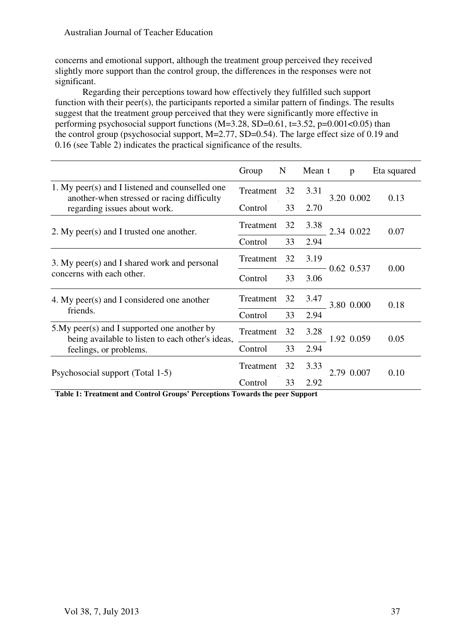concerns and emotional support, although the treatment group perceived they received slightly more support than the control group, the differences in the responses were not significant.

 Regarding their perceptions toward how effectively they fulfilled such support function with their peer(s), the participants reported a similar pattern of findings. The results suggest that the treatment group perceived that they were significantly more effective in performing psychosocial support functions  $(M=3.28, SD=0.61, t=3.52, p=0.001<0.05)$  than the control group (psychosocial support, M=2.77, SD=0.54). The large effect size of 0.19 and 0.16 (see Table 2) indicates the practical significance of the results.

|                                                                                                                               | Group     | N  | Mean t |  | $\mathbf{p}$ | Eta squared |
|-------------------------------------------------------------------------------------------------------------------------------|-----------|----|--------|--|--------------|-------------|
| 1. My peer(s) and I listened and counselled one<br>another-when stressed or racing difficulty<br>regarding issues about work. | Treatment | 32 | 3.31   |  | 3.20 0.002   | 0.13        |
|                                                                                                                               | Control   | 33 | 2.70   |  |              |             |
| 2. My peer(s) and I trusted one another.                                                                                      | Treatment | 32 | 3.38   |  | 2.34 0.022   | 0.07        |
|                                                                                                                               | Control   | 33 | 2.94   |  |              |             |
| 3. My peer(s) and I shared work and personal<br>concerns with each other.                                                     | Treatment | 32 | 3.19   |  | 0.62 0.537   |             |
|                                                                                                                               | Control   | 33 | 3.06   |  |              | 0.00        |
| 4. My peer(s) and I considered one another<br>friends.                                                                        | Treatment | 32 | 3.47   |  | 3.80 0.000   | 0.18        |
|                                                                                                                               | Control   | 33 | 2.94   |  |              |             |
| 5. My peer(s) and I supported one another by<br>being available to listen to each other's ideas,<br>feelings, or problems.    | Treatment | 32 | 3.28   |  | 1.92 0.059   | 0.05        |
|                                                                                                                               | Control   | 33 | 2.94   |  |              |             |
| Psychosocial support (Total 1-5)                                                                                              | Treatment | 32 | 3.33   |  | 2.79 0.007   | 0.10        |
|                                                                                                                               | Control   | 33 | 2.92   |  |              |             |

**Table 1: Treatment and Control Groups' Perceptions Towards the peer Support**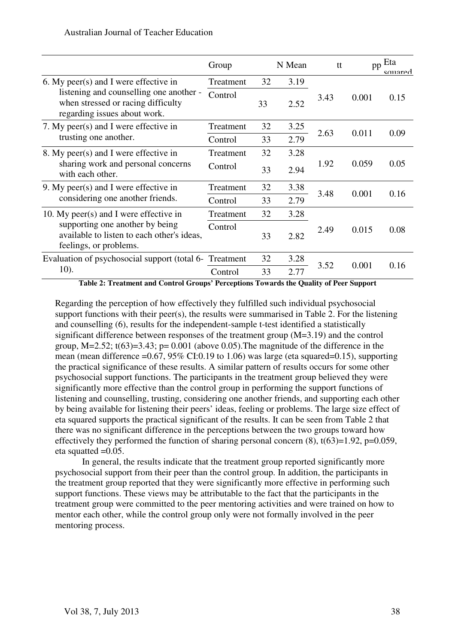|                                                                                                                                                        | Group     |    | N Mean | tt   | pp    | Eta<br>squared |
|--------------------------------------------------------------------------------------------------------------------------------------------------------|-----------|----|--------|------|-------|----------------|
| 6. My peer(s) and I were effective in<br>listening and counselling one another -<br>when stressed or racing difficulty<br>regarding issues about work. | Treatment | 32 | 3.19   |      |       |                |
|                                                                                                                                                        | Control   | 33 | 2.52   | 3.43 | 0.001 | 0.15           |
| 7. My peer(s) and I were effective in<br>trusting one another.                                                                                         | Treatment | 32 | 3.25   | 2.63 | 0.011 | 0.09           |
|                                                                                                                                                        | Control   | 33 | 2.79   |      |       |                |
| 8. My peer(s) and I were effective in<br>sharing work and personal concerns<br>with each other.                                                        | Treatment | 32 | 3.28   | 1.92 | 0.059 | 0.05           |
|                                                                                                                                                        | Control   | 33 | 2.94   |      |       |                |
| 9. My peer(s) and I were effective in<br>considering one another friends.                                                                              | Treatment | 32 | 3.38   | 3.48 | 0.001 | 0.16           |
|                                                                                                                                                        | Control   | 33 | 2.79   |      |       |                |
| 10. My peer(s) and I were effective in<br>supporting one another by being<br>available to listen to each other's ideas,<br>feelings, or problems.      | Treatment | 32 | 3.28   |      | 0.015 | 0.08           |
|                                                                                                                                                        | Control   | 33 | 2.82   | 2.49 |       |                |
| Evaluation of psychosocial support (total 6-<br>10).                                                                                                   | Treatment | 32 | 3.28   |      |       |                |
|                                                                                                                                                        | Control   | 33 | 2.77   | 3.52 | 0.001 | 0.16           |

**Table 2: Treatment and Control Groups' Perceptions Towards the Quality of Peer Support** 

Regarding the perception of how effectively they fulfilled such individual psychosocial support functions with their peer(s), the results were summarised in Table 2. For the listening and counselling (6), results for the independent-sample t-test identified a statistically significant difference between responses of the treatment group (M=3.19) and the control group,  $M=2.52$ ;  $t(63)=3.43$ ;  $p=0.001$  (above 0.05). The magnitude of the difference in the mean (mean difference  $=0.67$ , 95% CI:0.19 to 1.06) was large (eta squared=0.15), supporting the practical significance of these results. A similar pattern of results occurs for some other psychosocial support functions. The participants in the treatment group believed they were significantly more effective than the control group in performing the support functions of listening and counselling, trusting, considering one another friends, and supporting each other by being available for listening their peers' ideas, feeling or problems. The large size effect of eta squared supports the practical significant of the results. It can be seen from Table 2 that there was no significant difference in the perceptions between the two groups toward how effectively they performed the function of sharing personal concern  $(8)$ ,  $t(63)=1.92$ ,  $p=0.059$ , eta squatted  $=0.05$ .

In general, the results indicate that the treatment group reported significantly more psychosocial support from their peer than the control group. In addition, the participants in the treatment group reported that they were significantly more effective in performing such support functions. These views may be attributable to the fact that the participants in the treatment group were committed to the peer mentoring activities and were trained on how to mentor each other, while the control group only were not formally involved in the peer mentoring process.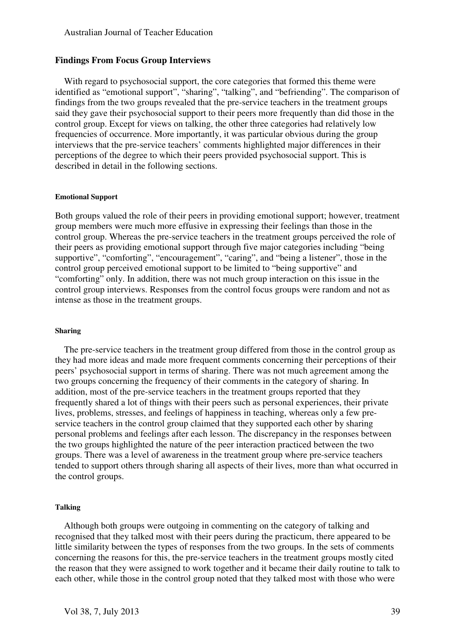#### **Findings From Focus Group Interviews**

With regard to psychosocial support, the core categories that formed this theme were identified as "emotional support", "sharing", "talking", and "befriending". The comparison of findings from the two groups revealed that the pre-service teachers in the treatment groups said they gave their psychosocial support to their peers more frequently than did those in the control group. Except for views on talking, the other three categories had relatively low frequencies of occurrence. More importantly, it was particular obvious during the group interviews that the pre-service teachers' comments highlighted major differences in their perceptions of the degree to which their peers provided psychosocial support. This is described in detail in the following sections.

#### **Emotional Support**

Both groups valued the role of their peers in providing emotional support; however, treatment group members were much more effusive in expressing their feelings than those in the control group. Whereas the pre-service teachers in the treatment groups perceived the role of their peers as providing emotional support through five major categories including "being supportive", "comforting", "encouragement", "caring", and "being a listener", those in the control group perceived emotional support to be limited to "being supportive" and "comforting" only. In addition, there was not much group interaction on this issue in the control group interviews. Responses from the control focus groups were random and not as intense as those in the treatment groups.

#### **Sharing**

The pre-service teachers in the treatment group differed from those in the control group as they had more ideas and made more frequent comments concerning their perceptions of their peers' psychosocial support in terms of sharing. There was not much agreement among the two groups concerning the frequency of their comments in the category of sharing. In addition, most of the pre-service teachers in the treatment groups reported that they frequently shared a lot of things with their peers such as personal experiences, their private lives, problems, stresses, and feelings of happiness in teaching, whereas only a few preservice teachers in the control group claimed that they supported each other by sharing personal problems and feelings after each lesson. The discrepancy in the responses between the two groups highlighted the nature of the peer interaction practiced between the two groups. There was a level of awareness in the treatment group where pre-service teachers tended to support others through sharing all aspects of their lives, more than what occurred in the control groups.

#### **Talking**

Although both groups were outgoing in commenting on the category of talking and recognised that they talked most with their peers during the practicum, there appeared to be little similarity between the types of responses from the two groups. In the sets of comments concerning the reasons for this, the pre-service teachers in the treatment groups mostly cited the reason that they were assigned to work together and it became their daily routine to talk to each other, while those in the control group noted that they talked most with those who were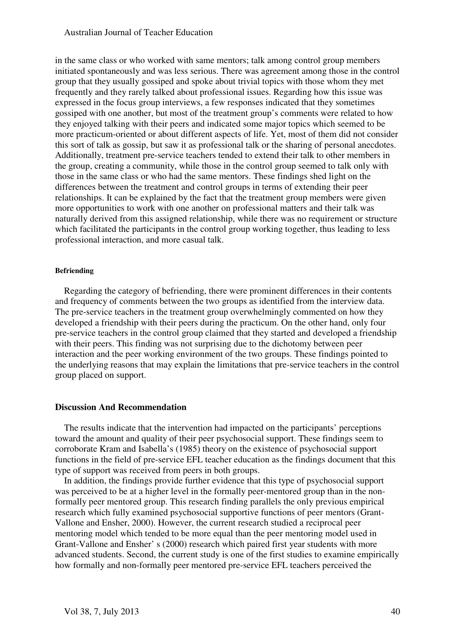in the same class or who worked with same mentors; talk among control group members initiated spontaneously and was less serious. There was agreement among those in the control group that they usually gossiped and spoke about trivial topics with those whom they met frequently and they rarely talked about professional issues. Regarding how this issue was expressed in the focus group interviews, a few responses indicated that they sometimes gossiped with one another, but most of the treatment group's comments were related to how they enjoyed talking with their peers and indicated some major topics which seemed to be more practicum-oriented or about different aspects of life. Yet, most of them did not consider this sort of talk as gossip, but saw it as professional talk or the sharing of personal anecdotes. Additionally, treatment pre-service teachers tended to extend their talk to other members in the group, creating a community, while those in the control group seemed to talk only with those in the same class or who had the same mentors. These findings shed light on the differences between the treatment and control groups in terms of extending their peer relationships. It can be explained by the fact that the treatment group members were given more opportunities to work with one another on professional matters and their talk was naturally derived from this assigned relationship, while there was no requirement or structure which facilitated the participants in the control group working together, thus leading to less professional interaction, and more casual talk.

#### **Befriending**

Regarding the category of befriending, there were prominent differences in their contents and frequency of comments between the two groups as identified from the interview data. The pre-service teachers in the treatment group overwhelmingly commented on how they developed a friendship with their peers during the practicum. On the other hand, only four pre-service teachers in the control group claimed that they started and developed a friendship with their peers. This finding was not surprising due to the dichotomy between peer interaction and the peer working environment of the two groups. These findings pointed to the underlying reasons that may explain the limitations that pre-service teachers in the control group placed on support.

#### **Discussion And Recommendation**

The results indicate that the intervention had impacted on the participants' perceptions toward the amount and quality of their peer psychosocial support. These findings seem to corroborate Kram and Isabella's (1985) theory on the existence of psychosocial support functions in the field of pre-service EFL teacher education as the findings document that this type of support was received from peers in both groups.

In addition, the findings provide further evidence that this type of psychosocial support was perceived to be at a higher level in the formally peer-mentored group than in the nonformally peer mentored group. This research finding parallels the only previous empirical research which fully examined psychosocial supportive functions of peer mentors (Grant-Vallone and Ensher, 2000). However, the current research studied a reciprocal peer mentoring model which tended to be more equal than the peer mentoring model used in Grant-Vallone and Ensher' s (2000) research which paired first year students with more advanced students. Second, the current study is one of the first studies to examine empirically how formally and non-formally peer mentored pre-service EFL teachers perceived the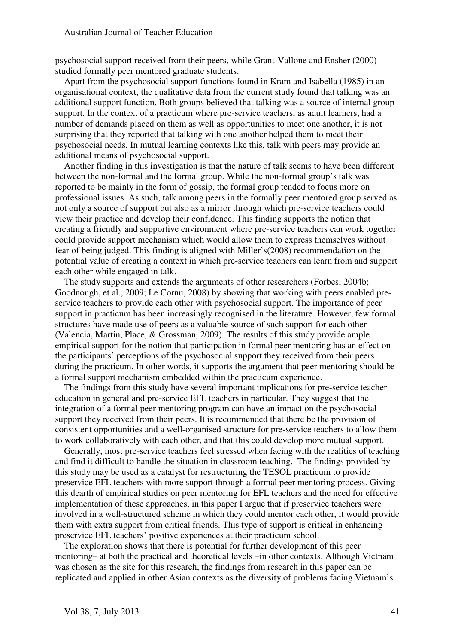psychosocial support received from their peers, while Grant-Vallone and Ensher (2000) studied formally peer mentored graduate students.

Apart from the psychosocial support functions found in Kram and Isabella (1985) in an organisational context, the qualitative data from the current study found that talking was an additional support function. Both groups believed that talking was a source of internal group support. In the context of a practicum where pre-service teachers, as adult learners, had a number of demands placed on them as well as opportunities to meet one another, it is not surprising that they reported that talking with one another helped them to meet their psychosocial needs. In mutual learning contexts like this, talk with peers may provide an additional means of psychosocial support.

Another finding in this investigation is that the nature of talk seems to have been different between the non-formal and the formal group. While the non-formal group's talk was reported to be mainly in the form of gossip, the formal group tended to focus more on professional issues. As such, talk among peers in the formally peer mentored group served as not only a source of support but also as a mirror through which pre-service teachers could view their practice and develop their confidence. This finding supports the notion that creating a friendly and supportive environment where pre-service teachers can work together could provide support mechanism which would allow them to express themselves without fear of being judged. This finding is aligned with Miller's(2008) recommendation on the potential value of creating a context in which pre-service teachers can learn from and support each other while engaged in talk.

The study supports and extends the arguments of other researchers (Forbes, 2004b; Goodnough, et al., 2009; Le Cornu, 2008) by showing that working with peers enabled preservice teachers to provide each other with psychosocial support. The importance of peer support in practicum has been increasingly recognised in the literature. However, few formal structures have made use of peers as a valuable source of such support for each other (Valencia, Martin, Place, & Grossman, 2009). The results of this study provide ample empirical support for the notion that participation in formal peer mentoring has an effect on the participants' perceptions of the psychosocial support they received from their peers during the practicum. In other words, it supports the argument that peer mentoring should be a formal support mechanism embedded within the practicum experience.

The findings from this study have several important implications for pre-service teacher education in general and pre-service EFL teachers in particular. They suggest that the integration of a formal peer mentoring program can have an impact on the psychosocial support they received from their peers. It is recommended that there be the provision of consistent opportunities and a well-organised structure for pre-service teachers to allow them to work collaboratively with each other, and that this could develop more mutual support.

Generally, most pre-service teachers feel stressed when facing with the realities of teaching and find it difficult to handle the situation in classroom teaching. The findings provided by this study may be used as a catalyst for restructuring the TESOL practicum to provide preservice EFL teachers with more support through a formal peer mentoring process. Giving this dearth of empirical studies on peer mentoring for EFL teachers and the need for effective implementation of these approaches, in this paper I argue that if preservice teachers were involved in a well-structured scheme in which they could mentor each other, it would provide them with extra support from critical friends. This type of support is critical in enhancing preservice EFL teachers' positive experiences at their practicum school.

The exploration shows that there is potential for further development of this peer mentoring– at both the practical and theoretical levels –in other contexts. Although Vietnam was chosen as the site for this research, the findings from research in this paper can be replicated and applied in other Asian contexts as the diversity of problems facing Vietnam's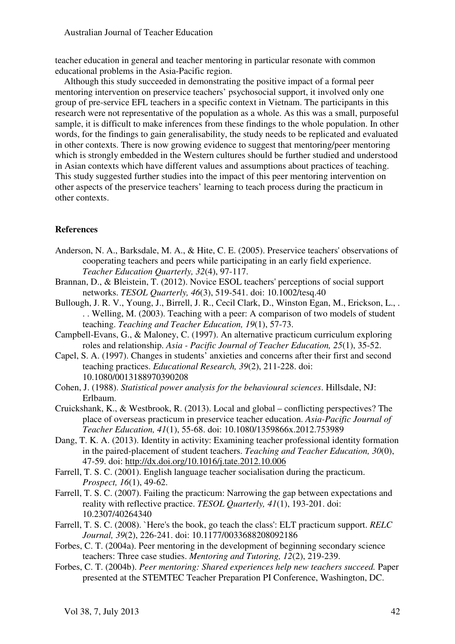teacher education in general and teacher mentoring in particular resonate with common educational problems in the Asia-Pacific region.

Although this study succeeded in demonstrating the positive impact of a formal peer mentoring intervention on preservice teachers' psychosocial support, it involved only one group of pre-service EFL teachers in a specific context in Vietnam. The participants in this research were not representative of the population as a whole. As this was a small, purposeful sample, it is difficult to make inferences from these findings to the whole population. In other words, for the findings to gain generalisability, the study needs to be replicated and evaluated in other contexts. There is now growing evidence to suggest that mentoring/peer mentoring which is strongly embedded in the Western cultures should be further studied and understood in Asian contexts which have different values and assumptions about practices of teaching. This study suggested further studies into the impact of this peer mentoring intervention on other aspects of the preservice teachers' learning to teach process during the practicum in other contexts.

# **References**

- Anderson, N. A., Barksdale, M. A., & Hite, C. E. (2005). Preservice teachers' observations of cooperating teachers and peers while participating in an early field experience. *Teacher Education Quarterly, 32*(4), 97-117.
- Brannan, D., & Bleistein, T. (2012). Novice ESOL teachers' perceptions of social support networks. *TESOL Quarterly, 46*(3), 519-541. doi: 10.1002/tesq.40
- Bullough, J. R. V., Young, J., Birrell, J. R., Cecil Clark, D., Winston Egan, M., Erickson, L., . . . Welling, M. (2003). Teaching with a peer: A comparison of two models of student teaching. *Teaching and Teacher Education, 19*(1), 57-73.
- Campbell-Evans, G., & Maloney, C. (1997). An alternative practicum curriculum exploring roles and relationship. *Asia - Pacific Journal of Teacher Education, 25*(1), 35-52.
- Capel, S. A. (1997). Changes in students' anxieties and concerns after their first and second teaching practices. *Educational Research, 39*(2), 211-228. doi: 10.1080/0013188970390208
- Cohen, J. (1988). *Statistical power analysis for the behavioural sciences*. Hillsdale, NJ: Erlbaum.
- Cruickshank, K., & Westbrook, R. (2013). Local and global conflicting perspectives? The place of overseas practicum in preservice teacher education. *Asia-Pacific Journal of Teacher Education, 41*(1), 55-68. doi: 10.1080/1359866x.2012.753989
- Dang, T. K. A. (2013). Identity in activity: Examining teacher professional identity formation in the paired-placement of student teachers. *Teaching and Teacher Education, 30*(0), 47-59. doi: http://dx.doi.org/10.1016/j.tate.2012.10.006
- Farrell, T. S. C. (2001). English language teacher socialisation during the practicum. *Prospect, 16*(1), 49-62.
- Farrell, T. S. C. (2007). Failing the practicum: Narrowing the gap between expectations and reality with reflective practice. *TESOL Quarterly, 41*(1), 193-201. doi: 10.2307/40264340
- Farrell, T. S. C. (2008). `Here's the book, go teach the class': ELT practicum support. *RELC Journal, 39*(2), 226-241. doi: 10.1177/0033688208092186
- Forbes, C. T. (2004a). Peer mentoring in the development of beginning secondary science teachers: Three case studies. *Mentoring and Tutoring, 12*(2), 219-239.
- Forbes, C. T. (2004b). *Peer mentoring: Shared experiences help new teachers succeed.* Paper presented at the STEMTEC Teacher Preparation PI Conference, Washington, DC.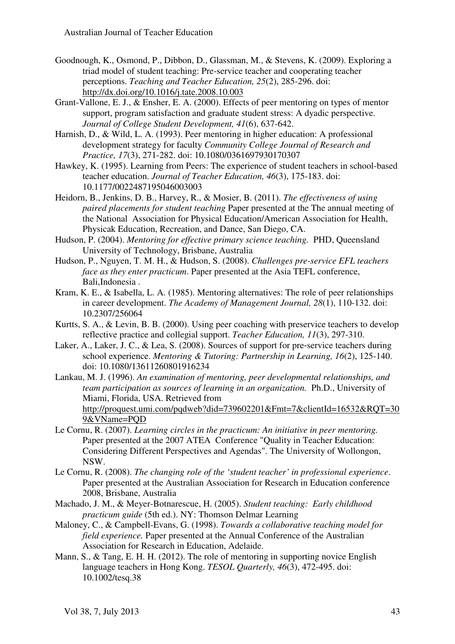- Goodnough, K., Osmond, P., Dibbon, D., Glassman, M., & Stevens, K. (2009). Exploring a triad model of student teaching: Pre-service teacher and cooperating teacher perceptions. *Teaching and Teacher Education, 25*(2), 285-296. doi: http://dx.doi.org/10.1016/j.tate.2008.10.003
- Grant-Vallone, E. J., & Ensher, E. A. (2000). Effects of peer mentoring on types of mentor support, program satisfaction and graduate student stress: A dyadic perspective. *Journal of College Student Development, 41*(6), 637-642.
- Harnish, D., & Wild, L. A. (1993). Peer mentoring in higher education: A professional development strategy for faculty *Community College Journal of Research and Practice, 17*(3), 271-282. doi: 10.1080/0361697930170307
- Hawkey, K. (1995). Learning from Peers: The experience of student teachers in school-based teacher education. *Journal of Teacher Education, 46*(3), 175-183. doi: 10.1177/0022487195046003003
- Heidorn, B., Jenkins, D. B., Harvey, R., & Mosier, B. (2011). *The effectiveness of using paired placements for student teaching* Paper presented at the The annual meeting of the National Association for Physical Education/American Association for Health, Physicak Education, Recreation, and Dance, San Diego, CA.
- Hudson, P. (2004). *Mentoring for effective primary science teaching.* PHD, Queensland University of Technology, Brisbane, Australia
- Hudson, P., Nguyen, T. M. H., & Hudson, S. (2008). *Challenges pre-service EFL teachers face as they enter practicum*. Paper presented at the Asia TEFL conference, Bali,Indonesia .
- Kram, K. E., & Isabella, L. A. (1985). Mentoring alternatives: The role of peer relationships in career development. *The Academy of Management Journal, 28*(1), 110-132. doi: 10.2307/256064
- Kurtts, S. A., & Levin, B. B. (2000). Using peer coaching with preservice teachers to develop reflective practice and collegial support. *Teacher Education, 11*(3), 297-310.
- Laker, A., Laker, J. C., & Lea, S. (2008). Sources of support for pre-service teachers during school experience. *Mentoring & Tutoring: Partnership in Learning, 16*(2), 125-140. doi: 10.1080/13611260801916234
- Lankau, M. J. (1996). *An examination of mentoring, peer developmental relationships, and team participation as sources of learning in an organization.* Ph.D., University of Miami, Florida, USA. Retrieved from http://proquest.umi.com/pqdweb?did=739602201&Fmt=7&clientId=16532&RQT=30 9&VName=PQD
- Le Cornu, R. (2007). *Learning circles in the practicum: An initiative in peer mentoring.* Paper presented at the 2007 ATEA Conference "Quality in Teacher Education: Considering Different Perspectives and Agendas". The University of Wollongon, NSW.
- Le Cornu, R. (2008). *The changing role of the 'student teacher' in professional experience*. Paper presented at the Australian Association for Research in Education conference 2008, Brisbane, Australia
- Machado, J. M., & Meyer-Botnarescue, H. (2005). *Student teaching: Early childhood practicum guide* (5th ed.). NY: Thomson Delmar Learning
- Maloney, C., & Campbell-Evans, G. (1998). *Towards a collaborative teaching model for field experience.* Paper presented at the Annual Conference of the Australian Association for Research in Education, Adelaide.
- Mann, S., & Tang, E. H. H. (2012). The role of mentoring in supporting novice English language teachers in Hong Kong. *TESOL Quarterly, 46*(3), 472-495. doi: 10.1002/tesq.38